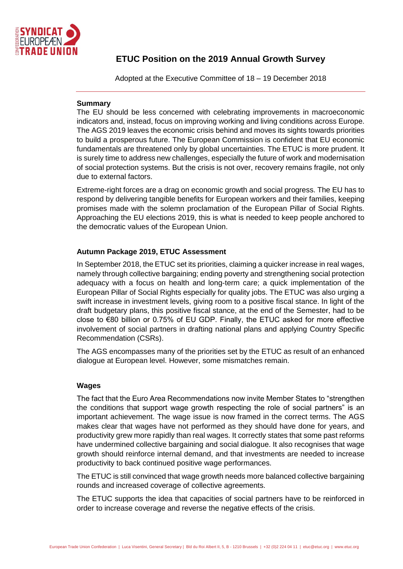

# **ETUC Position on the 2019 Annual Growth Survey**

Adopted at the Executive Committee of 18 – 19 December 2018

## **Summary**

The EU should be less concerned with celebrating improvements in macroeconomic indicators and, instead, focus on improving working and living conditions across Europe. The AGS 2019 leaves the economic crisis behind and moves its sights towards priorities to build a prosperous future. The European Commission is confident that EU economic fundamentals are threatened only by global uncertainties. The ETUC is more prudent. It is surely time to address new challenges, especially the future of work and modernisation of social protection systems. But the crisis is not over, recovery remains fragile, not only due to external factors.

Extreme-right forces are a drag on economic growth and social progress. The EU has to respond by delivering tangible benefits for European workers and their families, keeping promises made with the solemn proclamation of the European Pillar of Social Rights. Approaching the EU elections 2019, this is what is needed to keep people anchored to the democratic values of the European Union.

# **Autumn Package 2019, ETUC Assessment**

In September 2018, the ETUC set its priorities, claiming a quicker increase in real wages, namely through collective bargaining; ending poverty and strengthening social protection adequacy with a focus on health and long-term care; a quick implementation of the European Pillar of Social Rights especially for quality jobs. The ETUC was also urging a swift increase in investment levels, giving room to a positive fiscal stance. In light of the draft budgetary plans, this positive fiscal stance, at the end of the Semester, had to be close to €80 billion or 0.75% of EU GDP. Finally, the ETUC asked for more effective involvement of social partners in drafting national plans and applying Country Specific Recommendation (CSRs).

The AGS encompasses many of the priorities set by the ETUC as result of an enhanced dialogue at European level. However, some mismatches remain.

# **Wages**

The fact that the Euro Area Recommendations now invite Member States to "strengthen the conditions that support wage growth respecting the role of social partners" is an important achievement. The wage issue is now framed in the correct terms. The AGS makes clear that wages have not performed as they should have done for years, and productivity grew more rapidly than real wages. It correctly states that some past reforms have undermined collective bargaining and social dialogue. It also recognises that wage growth should reinforce internal demand, and that investments are needed to increase productivity to back continued positive wage performances.

The ETUC is still convinced that wage growth needs more balanced collective bargaining rounds and increased coverage of collective agreements.

The ETUC supports the idea that capacities of social partners have to be reinforced in order to increase coverage and reverse the negative effects of the crisis.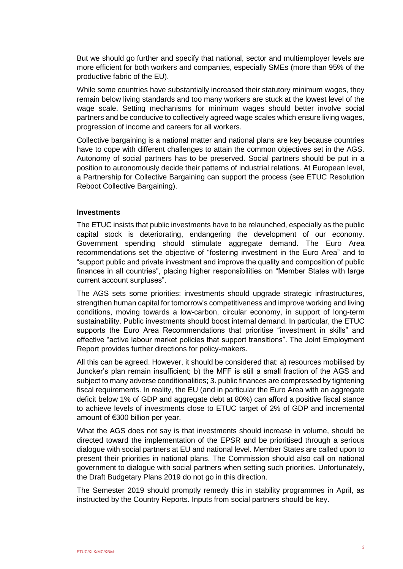But we should go further and specify that national, sector and multiemployer levels are more efficient for both workers and companies, especially SMEs (more than 95% of the productive fabric of the EU).

While some countries have substantially increased their statutory minimum wages, they remain below living standards and too many workers are stuck at the lowest level of the wage scale. Setting mechanisms for minimum wages should better involve social partners and be conducive to collectively agreed wage scales which ensure living wages, progression of income and careers for all workers.

Collective bargaining is a national matter and national plans are key because countries have to cope with different challenges to attain the common objectives set in the AGS. Autonomy of social partners has to be preserved. Social partners should be put in a position to autonomously decide their patterns of industrial relations. At European level, a Partnership for Collective Bargaining can support the process (see ETUC Resolution Reboot Collective Bargaining).

#### **Investments**

The ETUC insists that public investments have to be relaunched, especially as the public capital stock is deteriorating, endangering the development of our economy. Government spending should stimulate aggregate demand. The Euro Area recommendations set the objective of "fostering investment in the Euro Area" and to "support public and private investment and improve the quality and composition of public finances in all countries", placing higher responsibilities on "Member States with large current account surpluses".

The AGS sets some priorities: investments should upgrade strategic infrastructures, strengthen human capital for tomorrow's competitiveness and improve working and living conditions, moving towards a low-carbon, circular economy, in support of long-term sustainability. Public investments should boost internal demand. In particular, the ETUC supports the Euro Area Recommendations that prioritise "investment in skills" and effective "active labour market policies that support transitions". The Joint Employment Report provides further directions for policy-makers.

All this can be agreed. However, it should be considered that: a) resources mobilised by Juncker's plan remain insufficient; b) the MFF is still a small fraction of the AGS and subject to many adverse conditionalities; 3. public finances are compressed by tightening fiscal requirements. In reality, the EU (and in particular the Euro Area with an aggregate deficit below 1% of GDP and aggregate debt at 80%) can afford a positive fiscal stance to achieve levels of investments close to ETUC target of 2% of GDP and incremental amount of €300 billion per year.

What the AGS does not say is that investments should increase in volume, should be directed toward the implementation of the EPSR and be prioritised through a serious dialogue with social partners at EU and national level. Member States are called upon to present their priorities in national plans. The Commission should also call on national government to dialogue with social partners when setting such priorities. Unfortunately, the Draft Budgetary Plans 2019 do not go in this direction.

The Semester 2019 should promptly remedy this in stability programmes in April, as instructed by the Country Reports. Inputs from social partners should be key.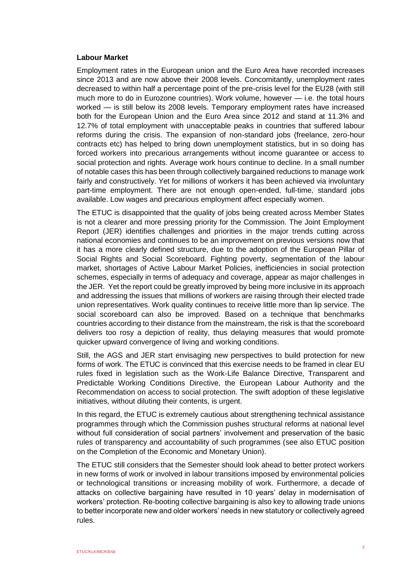#### **Labour Market**

Employment rates in the European union and the Euro Area have recorded increases since 2013 and are now above their 2008 levels. Concomitantly, unemployment rates decreased to within half a percentage point of the pre-crisis level for the EU28 (with still much more to do in Eurozone countries). Work volume, however — i.e. the total hours worked — is still below its 2008 levels. Temporary employment rates have increased both for the European Union and the Euro Area since 2012 and stand at 11.3% and 12.7% of total employment with unacceptable peaks in countries that suffered labour reforms during the crisis. The expansion of non-standard jobs (freelance, zero-hour contracts etc) has helped to bring down unemployment statistics, but in so doing has forced workers into precarious arrangements without income guarantee or access to social protection and rights. Average work hours continue to decline. In a small number of notable cases this has been through collectively bargained reductions to manage work fairly and constructively. Yet for millions of workers it has been achieved via involuntary part-time employment. There are not enough open-ended, full-time, standard jobs available. Low wages and precarious employment affect especially women.

The ETUC is disappointed that the quality of jobs being created across Member States is not a clearer and more pressing priority for the Commission. The Joint Employment Report (JER) identifies challenges and priorities in the major trends cutting across national economies and continues to be an improvement on previous versions now that it has a more clearly defined structure, due to the adoption of the European Pillar of Social Rights and Social Scoreboard. Fighting poverty, segmentation of the labour market, shortages of Active Labour Market Policies, inefficiencies in social protection schemes, especially in terms of adequacy and coverage, appear as major challenges in the JER. Yet the report could be greatly improved by being more inclusive in its approach and addressing the issues that millions of workers are raising through their elected trade union representatives. Work quality continues to receive little more than lip service. The social scoreboard can also be improved. Based on a technique that benchmarks countries according to their distance from the mainstream, the risk is that the scoreboard delivers too rosy a depiction of reality, thus delaying measures that would promote quicker upward convergence of living and working conditions.

Still, the AGS and JER start envisaging new perspectives to build protection for new forms of work. The ETUC is convinced that this exercise needs to be framed in clear EU rules fixed in legislation such as the Work-Life Balance Directive, Transparent and Predictable Working Conditions Directive, the European Labour Authority and the Recommendation on access to social protection. The swift adoption of these legislative initiatives, without diluting their contents, is urgent.

In this regard, the ETUC is extremely cautious about strengthening technical assistance programmes through which the Commission pushes structural reforms at national level without full consideration of social partners' involvement and preservation of the basic rules of transparency and accountability of such programmes (see also ETUC position on the Completion of the Economic and Monetary Union).

The ETUC still considers that the Semester should look ahead to better protect workers in new forms of work or involved in labour transitions imposed by environmental policies or technological transitions or increasing mobility of work. Furthermore, a decade of attacks on collective bargaining have resulted in 10 years' delay in modernisation of workers' protection. Re-booting collective bargaining is also key to allowing trade unions to better incorporate new and older workers' needs in new statutory or collectively agreed rules.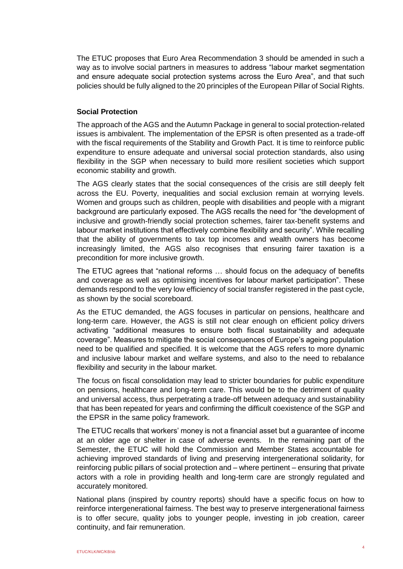The ETUC proposes that Euro Area Recommendation 3 should be amended in such a way as to involve social partners in measures to address "labour market segmentation and ensure adequate social protection systems across the Euro Area", and that such policies should be fully aligned to the 20 principles of the European Pillar of Social Rights.

### **Social Protection**

The approach of the AGS and the Autumn Package in general to social protection-related issues is ambivalent. The implementation of the EPSR is often presented as a trade-off with the fiscal requirements of the Stability and Growth Pact. It is time to reinforce public expenditure to ensure adequate and universal social protection standards, also using flexibility in the SGP when necessary to build more resilient societies which support economic stability and growth.

The AGS clearly states that the social consequences of the crisis are still deeply felt across the EU. Poverty, inequalities and social exclusion remain at worrying levels. Women and groups such as children, people with disabilities and people with a migrant background are particularly exposed. The AGS recalls the need for "the development of inclusive and growth-friendly social protection schemes, fairer tax-benefit systems and labour market institutions that effectively combine flexibility and security". While recalling that the ability of governments to tax top incomes and wealth owners has become increasingly limited, the AGS also recognises that ensuring fairer taxation is a precondition for more inclusive growth.

The ETUC agrees that "national reforms … should focus on the adequacy of benefits and coverage as well as optimising incentives for labour market participation". These demands respond to the very low efficiency of social transfer registered in the past cycle, as shown by the social scoreboard.

As the ETUC demanded, the AGS focuses in particular on pensions, healthcare and long-term care. However, the AGS is still not clear enough on efficient policy drivers activating "additional measures to ensure both fiscal sustainability and adequate coverage". Measures to mitigate the social consequences of Europe's ageing population need to be qualified and specified. It is welcome that the AGS refers to more dynamic and inclusive labour market and welfare systems, and also to the need to rebalance flexibility and security in the labour market.

The focus on fiscal consolidation may lead to stricter boundaries for public expenditure on pensions, healthcare and long-term care. This would be to the detriment of quality and universal access, thus perpetrating a trade-off between adequacy and sustainability that has been repeated for years and confirming the difficult coexistence of the SGP and the EPSR in the same policy framework.

The ETUC recalls that workers' money is not a financial asset but a guarantee of income at an older age or shelter in case of adverse events. In the remaining part of the Semester, the ETUC will hold the Commission and Member States accountable for achieving improved standards of living and preserving intergenerational solidarity, for reinforcing public pillars of social protection and – where pertinent – ensuring that private actors with a role in providing health and long-term care are strongly regulated and accurately monitored.

National plans (inspired by country reports) should have a specific focus on how to reinforce intergenerational fairness. The best way to preserve intergenerational fairness is to offer secure, quality jobs to younger people, investing in job creation, career continuity, and fair remuneration.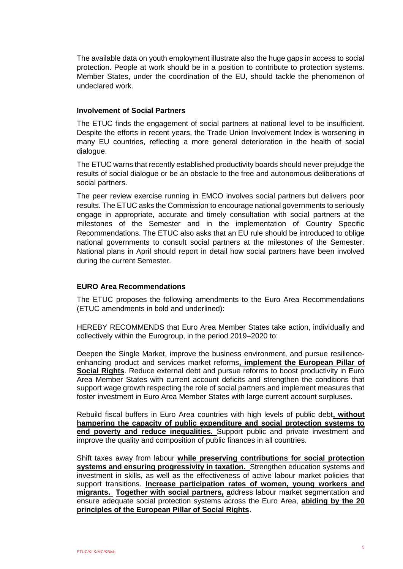The available data on youth employment illustrate also the huge gaps in access to social protection. People at work should be in a position to contribute to protection systems. Member States, under the coordination of the EU, should tackle the phenomenon of undeclared work.

#### **Involvement of Social Partners**

The ETUC finds the engagement of social partners at national level to be insufficient. Despite the efforts in recent years, the Trade Union Involvement Index is worsening in many EU countries, reflecting a more general deterioration in the health of social dialogue.

The ETUC warns that recently established productivity boards should never prejudge the results of social dialogue or be an obstacle to the free and autonomous deliberations of social partners.

The peer review exercise running in EMCO involves social partners but delivers poor results. The ETUC asks the Commission to encourage national governments to seriously engage in appropriate, accurate and timely consultation with social partners at the milestones of the Semester and in the implementation of Country Specific Recommendations. The ETUC also asks that an EU rule should be introduced to oblige national governments to consult social partners at the milestones of the Semester. National plans in April should report in detail how social partners have been involved during the current Semester.

## **EURO Area Recommendations**

The ETUC proposes the following amendments to the Euro Area Recommendations (ETUC amendments in bold and underlined):

HEREBY RECOMMENDS that Euro Area Member States take action, individually and collectively within the Eurogroup, in the period 2019–2020 to:

Deepen the Single Market, improve the business environment, and pursue resilienceenhancing product and services market reforms**, implement the European Pillar of Social Rights**. Reduce external debt and pursue reforms to boost productivity in Euro Area Member States with current account deficits and strengthen the conditions that support wage growth respecting the role of social partners and implement measures that foster investment in Euro Area Member States with large current account surpluses.

Rebuild fiscal buffers in Euro Area countries with high levels of public debt**, without hampering the capacity of public expenditure and social protection systems to end poverty and reduce inequalities.** Support public and private investment and improve the quality and composition of public finances in all countries.

Shift taxes away from labour **while preserving contributions for social protection systems and ensuring progressivity in taxation.** Strengthen education systems and investment in skills, as well as the effectiveness of active labour market policies that support transitions. **Increase participation rates of women, young workers and migrants. Together with social partners, a**ddress labour market segmentation and ensure adequate social protection systems across the Euro Area, **abiding by the 20 principles of the European Pillar of Social Rights**.